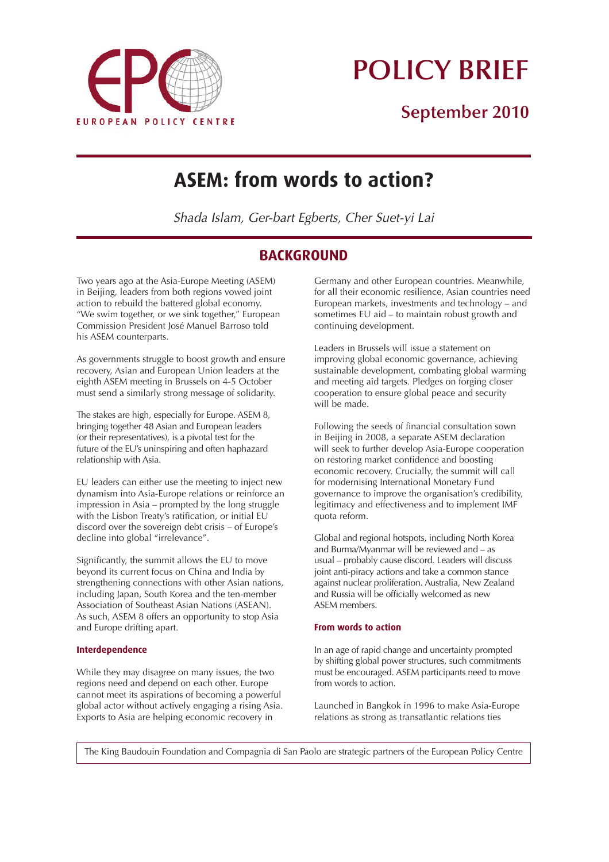

# **POLICY BRIEF**

## **September 2010**

## **ASEM: from words to action?**

Shada Islam, Ger-bart Egberts, Cher Suet-yi Lai

## **BACKGROUND**

Two years ago at the Asia-Europe Meeting (ASEM) in Beijing, leaders from both regions vowed joint action to rebuild the battered global economy. "We swim together, or we sink together," European Commission President José Manuel Barroso told his ASEM counterparts.

As governments struggle to boost growth and ensure recovery, Asian and European Union leaders at the eighth ASEM meeting in Brussels on 4-5 October must send a similarly strong message of solidarity.

The stakes are high, especially for Europe. ASEM 8, bringing together 48 Asian and European leaders (or their representatives), is a pivotal test for the future of the EU's uninspiring and often haphazard relationship with Asia.

EU leaders can either use the meeting to inject new dynamism into Asia-Europe relations or reinforce an impression in Asia – prompted by the long struggle with the Lisbon Treaty's ratification, or initial EU discord over the sovereign debt crisis – of Europe's decline into global "irrelevance".

Significantly, the summit allows the EU to move beyond its current focus on China and India by strengthening connections with other Asian nations, including Japan, South Korea and the ten-member Association of Southeast Asian Nations (ASEAN). As such, ASEM 8 offers an opportunity to stop Asia and Europe drifting apart.

## **Interdependence**

While they may disagree on many issues, the two regions need and depend on each other. Europe cannot meet its aspirations of becoming a powerful global actor without actively engaging a rising Asia. Exports to Asia are helping economic recovery in

Germany and other European countries. Meanwhile, for all their economic resilience, Asian countries need European markets, investments and technology – and sometimes EU aid – to maintain robust growth and continuing development.

Leaders in Brussels will issue a statement on improving global economic governance, achieving sustainable development, combating global warming and meeting aid targets. Pledges on forging closer cooperation to ensure global peace and security will be made.

Following the seeds of financial consultation sown in Beijing in 2008, a separate ASEM declaration will seek to further develop Asia-Europe cooperation on restoring market confidence and boosting economic recovery. Crucially, the summit will call for modernising International Monetary Fund governance to improve the organisation's credibility, legitimacy and effectiveness and to implement IMF quota reform.

Global and regional hotspots, including North Korea and Burma/Myanmar will be reviewed and – as usual – probably cause discord. Leaders will discuss joint anti-piracy actions and take a common stance against nuclear proliferation. Australia, New Zealand and Russia will be officially welcomed as new ASEM members.

## **From words to action**

In an age of rapid change and uncertainty prompted by shifting global power structures, such commitments must be encouraged. ASEM participants need to move from words to action.

Launched in Bangkok in 1996 to make Asia-Europe relations as strong as transatlantic relations ties

The King Baudouin Foundation and Compagnia di San Paolo are strategic partners of the European Policy Centre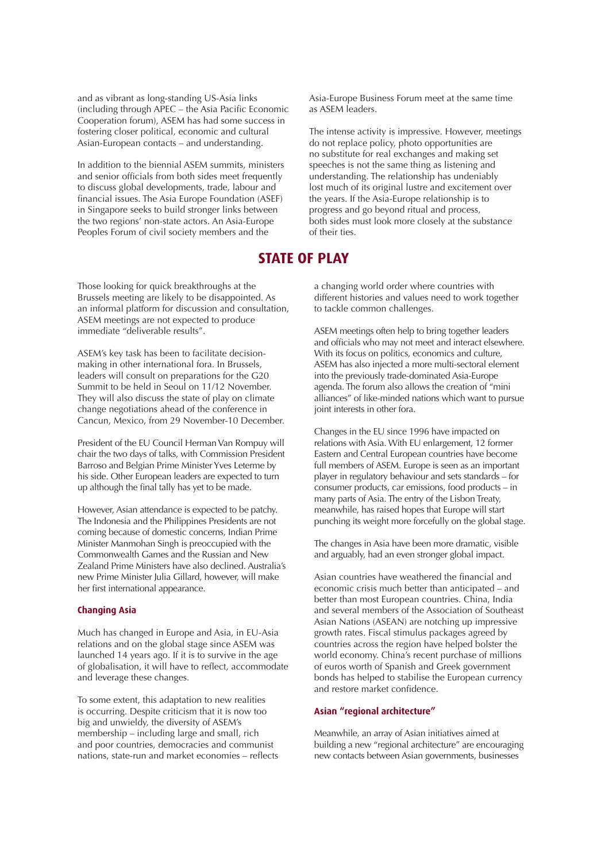and as vibrant as long-standing US-Asia links (including through APEC – the Asia Pacific Economic Cooperation forum), ASEM has had some success in fostering closer political, economic and cultural Asian-European contacts – and understanding.

In addition to the biennial ASEM summits, ministers and senior officials from both sides meet frequently to discuss global developments, trade, labour and financial issues. The Asia Europe Foundation (ASEF) in Singapore seeks to build stronger links between the two regions' non-state actors. An Asia-Europe Peoples Forum of civil society members and the

Those looking for quick breakthroughs at the Brussels meeting are likely to be disappointed. As an informal platform for discussion and consultation, ASEM meetings are not expected to produce immediate "deliverable results".

ASEM's key task has been to facilitate decisionmaking in other international fora. In Brussels, leaders will consult on preparations for the G20 Summit to be held in Seoul on 11/12 November. They will also discuss the state of play on climate change negotiations ahead of the conference in Cancun, Mexico, from 29 November-10 December.

President of the EU Council Herman Van Rompuy will chair the two days of talks, with Commission President Barroso and Belgian Prime Minister Yves Leterme by his side. Other European leaders are expected to turn up although the final tally has yet to be made.

However, Asian attendance is expected to be patchy. The Indonesia and the Philippines Presidents are not coming because of domestic concerns, Indian Prime Minister Manmohan Singh is preoccupied with the Commonwealth Games and the Russian and New Zealand Prime Ministers have also declined. Australia's new Prime Minister Julia Gillard, however, will make her first international appearance.

#### **Changing Asia**

Much has changed in Europe and Asia, in EU-Asia relations and on the global stage since ASEM was launched 14 years ago. If it is to survive in the age of globalisation, it will have to reflect, accommodate and leverage these changes.

To some extent, this adaptation to new realities is occurring. Despite criticism that it is now too big and unwieldy, the diversity of ASEM's membership – including large and small, rich and poor countries, democracies and communist nations, state-run and market economies – reflects Asia-Europe Business Forum meet at the same time as ASEM leaders.

The intense activity is impressive. However, meetings do not replace policy, photo opportunities are no substitute for real exchanges and making set speeches is not the same thing as listening and understanding. The relationship has undeniably lost much of its original lustre and excitement over the years. If the Asia-Europe relationship is to progress and go beyond ritual and process, both sides must look more closely at the substance of their ties.

## **STATE OF PLAY**

a changing world order where countries with different histories and values need to work together to tackle common challenges.

ASEM meetings often help to bring together leaders and officials who may not meet and interact elsewhere. With its focus on politics, economics and culture, ASEM has also injected a more multi-sectoral element into the previously trade-dominated Asia-Europe agenda. The forum also allows the creation of "mini alliances" of like-minded nations which want to pursue joint interests in other fora.

Changes in the EU since 1996 have impacted on relations with Asia. With EU enlargement, 12 former Eastern and Central European countries have become full members of ASEM. Europe is seen as an important player in regulatory behaviour and sets standards – for consumer products, car emissions, food products – in many parts of Asia. The entry of the Lisbon Treaty, meanwhile, has raised hopes that Europe will start punching its weight more forcefully on the global stage.

The changes in Asia have been more dramatic, visible and arguably, had an even stronger global impact.

Asian countries have weathered the financial and economic crisis much better than anticipated – and better than most European countries. China, India and several members of the Association of Southeast Asian Nations (ASEAN) are notching up impressive growth rates. Fiscal stimulus packages agreed by countries across the region have helped bolster the world economy. China's recent purchase of millions of euros worth of Spanish and Greek government bonds has helped to stabilise the European currency and restore market confidence.

#### **Asian "regional architecture"**

Meanwhile, an array of Asian initiatives aimed at building a new "regional architecture" are encouraging new contacts between Asian governments, businesses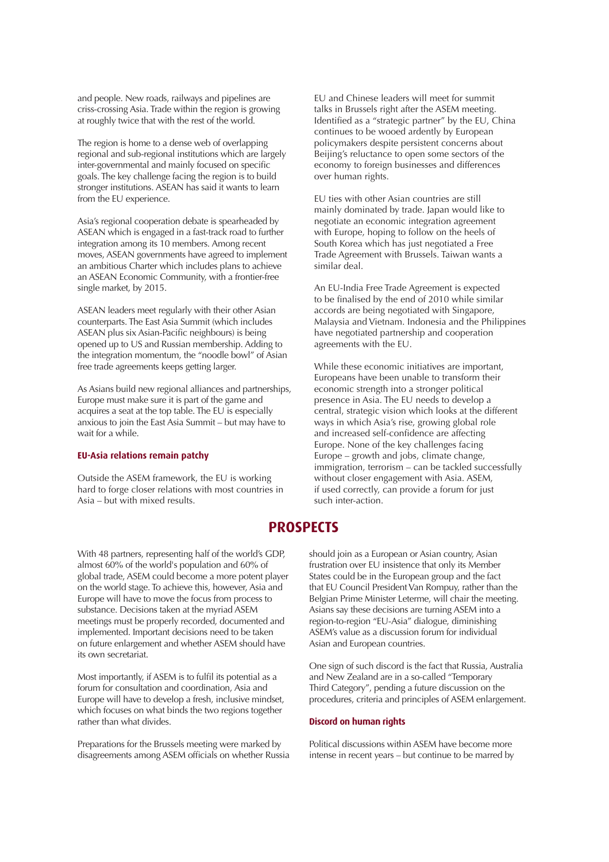and people. New roads, railways and pipelines are criss-crossing Asia. Trade within the region is growing at roughly twice that with the rest of the world.

The region is home to a dense web of overlapping regional and sub-regional institutions which are largely inter-governmental and mainly focused on specific goals. The key challenge facing the region is to build stronger institutions. ASEAN has said it wants to learn from the EU experience.

Asia's regional cooperation debate is spearheaded by ASEAN which is engaged in a fast-track road to further integration among its 10 members. Among recent moves, ASEAN governments have agreed to implement an ambitious Charter which includes plans to achieve an ASEAN Economic Community, with a frontier-free single market, by 2015.

ASEAN leaders meet regularly with their other Asian counterparts. The East Asia Summit (which includes ASEAN plus six Asian-Pacific neighbours) is being opened up to US and Russian membership. Adding to the integration momentum, the "noodle bowl" of Asian free trade agreements keeps getting larger.

As Asians build new regional alliances and partnerships, Europe must make sure it is part of the game and acquires a seat at the top table. The EU is especially anxious to join the East Asia Summit – but may have to wait for a while.

#### **EU-Asia relations remain patchy**

Outside the ASEM framework, the EU is working hard to forge closer relations with most countries in Asia – but with mixed results.

EU and Chinese leaders will meet for summit talks in Brussels right after the ASEM meeting. Identified as a "strategic partner" by the EU, China continues to be wooed ardently by European policymakers despite persistent concerns about Beijing's reluctance to open some sectors of the economy to foreign businesses and differences over human rights.

EU ties with other Asian countries are still mainly dominated by trade. Japan would like to negotiate an economic integration agreement with Europe, hoping to follow on the heels of South Korea which has just negotiated a Free Trade Agreement with Brussels. Taiwan wants a similar deal.

An EU-India Free Trade Agreement is expected to be finalised by the end of 2010 while similar accords are being negotiated with Singapore, Malaysia and Vietnam. Indonesia and the Philippines have negotiated partnership and cooperation agreements with the EU.

While these economic initiatives are important, Europeans have been unable to transform their economic strength into a stronger political presence in Asia. The EU needs to develop a central, strategic vision which looks at the different ways in which Asia's rise, growing global role and increased self-confidence are affecting Europe. None of the key challenges facing Europe – growth and jobs, climate change, immigration, terrorism – can be tackled successfully without closer engagement with Asia. ASEM, if used correctly, can provide a forum for just such inter-action.

## **PROSPECTS**

With 48 partners, representing half of the world's GDP, almost 60% of the world's population and 60% of global trade, ASEM could become a more potent player on the world stage. To achieve this, however, Asia and Europe will have to move the focus from process to substance. Decisions taken at the myriad ASEM meetings must be properly recorded, documented and implemented. Important decisions need to be taken on future enlargement and whether ASEM should have its own secretariat.

Most importantly, if ASEM is to fulfil its potential as a forum for consultation and coordination, Asia and Europe will have to develop a fresh, inclusive mindset, which focuses on what binds the two regions together rather than what divides.

Preparations for the Brussels meeting were marked by disagreements among ASEM officials on whether Russia should join as a European or Asian country, Asian frustration over EU insistence that only its Member States could be in the European group and the fact that EU Council President Van Rompuy, rather than the Belgian Prime Minister Leterme, will chair the meeting. Asians say these decisions are turning ASEM into a region-to-region "EU-Asia" dialogue, diminishing ASEM's value as a discussion forum for individual Asian and European countries.

One sign of such discord is the fact that Russia, Australia and New Zealand are in a so-called "Temporary Third Category", pending a future discussion on the procedures, criteria and principles of ASEM enlargement.

### **Discord on human rights**

Political discussions within ASEM have become more intense in recent years – but continue to be marred by